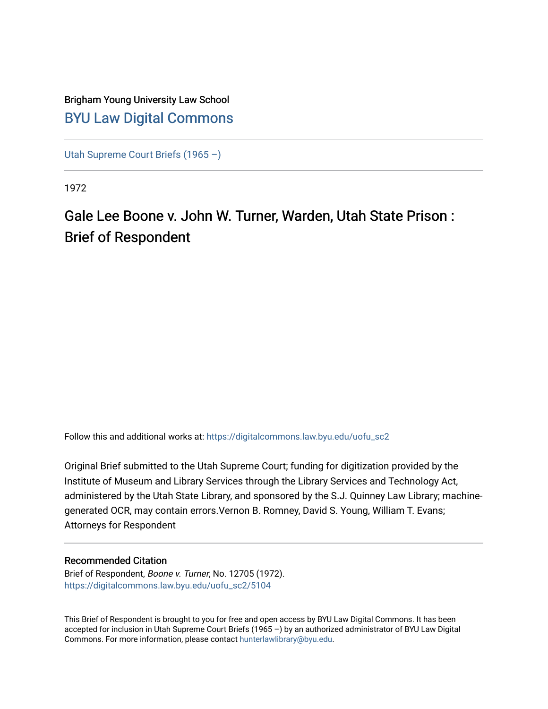# Brigham Young University Law School [BYU Law Digital Commons](https://digitalcommons.law.byu.edu/)

[Utah Supreme Court Briefs \(1965 –\)](https://digitalcommons.law.byu.edu/uofu_sc2)

1972

# Gale Lee Boone v. John W. Turner, Warden, Utah State Prison : Brief of Respondent

Follow this and additional works at: [https://digitalcommons.law.byu.edu/uofu\\_sc2](https://digitalcommons.law.byu.edu/uofu_sc2?utm_source=digitalcommons.law.byu.edu%2Fuofu_sc2%2F5104&utm_medium=PDF&utm_campaign=PDFCoverPages)

Original Brief submitted to the Utah Supreme Court; funding for digitization provided by the Institute of Museum and Library Services through the Library Services and Technology Act, administered by the Utah State Library, and sponsored by the S.J. Quinney Law Library; machinegenerated OCR, may contain errors.Vernon B. Romney, David S. Young, William T. Evans; Attorneys for Respondent

### Recommended Citation

Brief of Respondent, Boone v. Turner, No. 12705 (1972). [https://digitalcommons.law.byu.edu/uofu\\_sc2/5104](https://digitalcommons.law.byu.edu/uofu_sc2/5104?utm_source=digitalcommons.law.byu.edu%2Fuofu_sc2%2F5104&utm_medium=PDF&utm_campaign=PDFCoverPages) 

This Brief of Respondent is brought to you for free and open access by BYU Law Digital Commons. It has been accepted for inclusion in Utah Supreme Court Briefs (1965 –) by an authorized administrator of BYU Law Digital Commons. For more information, please contact [hunterlawlibrary@byu.edu](mailto:hunterlawlibrary@byu.edu).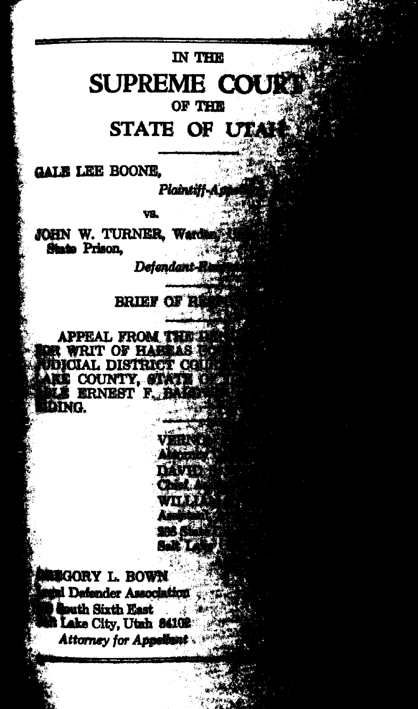# IN THE **SUPREME COURT** OF THE

STATE OF UT

**GALE LEE BOONE.** 

Plaintiff-Ai

VB.

JOHN W. TURNER, Wardi State Prison.

Detendant-

**BRIEF OF R** 

**APPEAL FROM THE L R WRIT OF HABRAS IS ICIAL DISTRICT COLL EL COUNTY, STATE OF ERNEST F. EALER DING.** 

**NEGORY L. BOWN** al Defender Association **Bouth Sixth East** Lake City, Utah 84102 Attorney for Appellant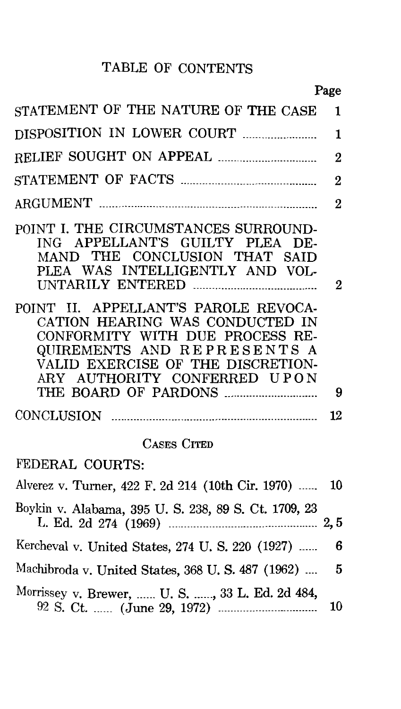## TABLE OF CONTENTS

|                                                                                                                                                                                                                | Page           |
|----------------------------------------------------------------------------------------------------------------------------------------------------------------------------------------------------------------|----------------|
| STATEMENT OF THE NATURE OF THE CASE                                                                                                                                                                            | 1              |
|                                                                                                                                                                                                                | 1              |
|                                                                                                                                                                                                                | $\overline{2}$ |
|                                                                                                                                                                                                                | $\mathbf 2$    |
|                                                                                                                                                                                                                | $\bf{2}$       |
| POINT I. THE CIRCUMSTANCES SURROUND-<br>ING APPELLANT'S GUILTY PLEA DE-<br>MAND THE CONCLUSION THAT SAID<br>PLEA WAS INTELLIGENTLY AND VOL-                                                                    | 2              |
| POINT II. APPELLANT'S PAROLE REVOCA-<br>CATION HEARING WAS CONDUCTED IN<br>CONFORMITY WITH DUE PROCESS RE-<br>QUIREMENTS AND REPRESENTS A<br>VALID EXERCISE OF THE DISCRETION-<br>ARY AUTHORITY CONFERRED UPON | 9              |
|                                                                                                                                                                                                                | 12             |
|                                                                                                                                                                                                                |                |
| <b>CASES CITED</b>                                                                                                                                                                                             |                |
| FEDERAL COURTS:                                                                                                                                                                                                |                |
| Alverez v. Turner, 422 F. 2d 214 (10th Cir. 1970)                                                                                                                                                              | 10             |
| Boykin v. Alabama, 395 U. S. 238, 89 S. Ct. 1709, 23                                                                                                                                                           | 2, 5           |
| Kercheval v. United States, 274 U.S. 220 (1927)                                                                                                                                                                | 6              |
| Machibroda v. United States, 368 U.S. 487 (1962)                                                                                                                                                               | 5              |
| Morrissey v. Brewer,  U. S. , 33 L. Ed. 2d 484,                                                                                                                                                                | 10             |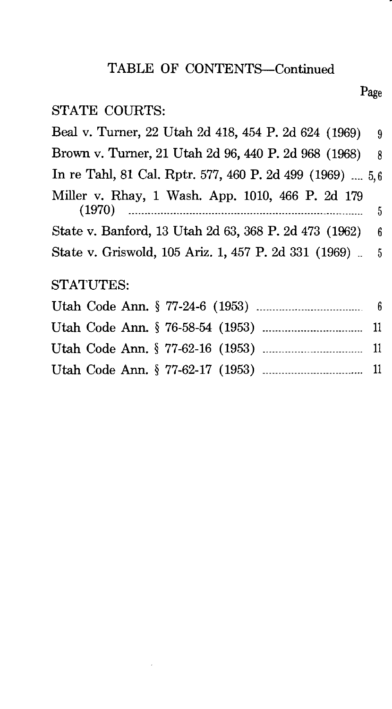## TABLE OF CONTENTS-Continued

Page

## STATE COURTS:

| Beal v. Turner, 22 Utah 2d 418, 454 P. 2d 624 (1969)     | 9    |
|----------------------------------------------------------|------|
| Brown v. Turner, 21 Utah 2d 96, 440 P. 2d 968 (1968)     | -8   |
| In re Tahl, 81 Cal. Rptr. 577, 460 P. 2d 499 (1969)  5,6 |      |
| Miller v. Rhay, 1 Wash. App. 1010, 466 P. 2d 179         | $-5$ |
| State v. Banford, 13 Utah 2d 63, 368 P. 2d 473 (1962)    | - 6  |
| State v. Griswold, 105 Ariz. 1, 457 P. 2d 331 (1969). 5  |      |
| STATUTES:                                                |      |
|                                                          |      |
|                                                          |      |
|                                                          |      |

Utah Code Ann. § 77-62-17 (1953) -------------------------------- 11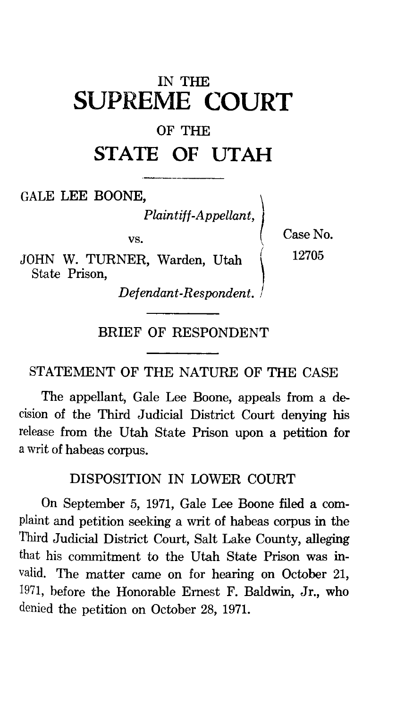## IN THE **SUPREME COURT**

## OF THE

# **STATE OF UTAH**

GALE LEE BOONE,<br>Plaintiff-Appellant,

vs.

JOHN W. TURNER, Warden, Utah State Prison,

Case No. 12705

*Defendant-Respondent.* ,

## BRIEF OF RESPONDENT

### STATEMENT OF THE NATURE OF THE CASE

The appellant, Gale Lee Boone, appeals from a decision of the Third Judicial District Court denying his release from the Utah State Prison upon a petition for a writ of habeas corpus.

## DISPOSITION IN LOWER COURT

On September 5, 1971, Gale Lee Boone filed a complaint and petition seeking a writ of habeas corpus in the Third Judicial District Court, Salt Lake County, alleging that his commitment to the Utah State Prison was invalid. The matter came on for hearing on October 21, 1971, before the Honorable Ernest F. Baldwin, Jr., who denied the petition on October 28, 1971.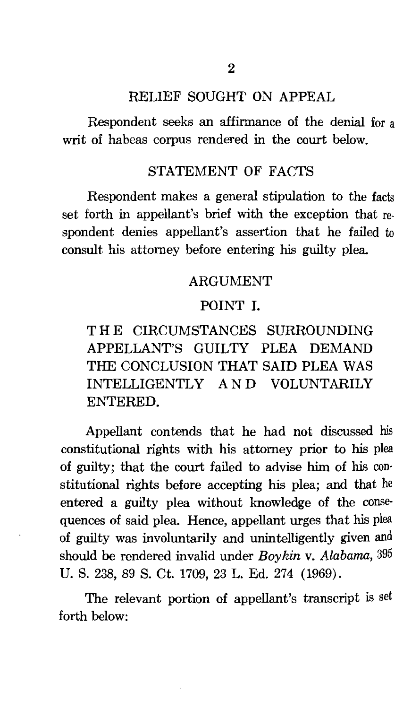#### RELIEF SOUGHT ON APPEAL

Respondent seeks an affirmance of the denial for a writ of habeas corpus rendered in the court below.

#### STATEMENT OF FACTS

Respondent makes a general stipulation to the facts set forth in appellant's brief with the exception that respondent denies appellant's assertion that he failed to consult his attorney before entering his guilty plea.

#### ARGUMENT

### POINT I.

THE CIRCUMSTANCES SURROUNDING APPELLANT'S GUILTY PLEA DEMAND THE CONCLUSION THAT SAID PLEA WAS INTELLIGENTLY AND VOLUNTARILY ENTERED.

Appellant contends that he had not discussed his constitutional rights with his attorney prior to his plea of guilty; that the court failed to advise him of his con· stitutional rights before accepting his plea; and that he entered a guilty plea without knowledge of the conse· quences of said plea. Hence, appellant urges that his plea of guilty was involuntarily and unintelligently given and should be rendered invalid under *Boykin* v. *Alabama,* 395 U. S. 238, 89 S. Ct. 1709, 23 L. Ed. 274 (1969).

The relevant portion of appellant's transcript is set forth below: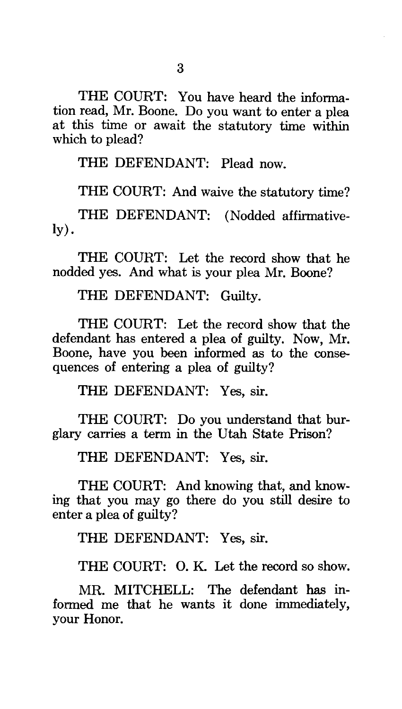THE COURT: You have heard the information read, Mr. Boone. Do you want to enter a plea at this time or await the statutory time within which to plead?

THE DEFENDANT: Plead now.

THE COURT: And waive the statutory time?

THE DEFENDANT: (Nodded affirmatively).

THE COURT: Let the record show that he nodded yes. And what is your plea Mr. Boone?

THE DEFENDANT: Guilty.

THE COURT: Let the record show that the defendant has entered a plea of guilty. Now, Mr. Boone, have you been informed as to the consequences of entering a plea of guilty?

THE DEFENDANT: Yes, sir.

THE COURT: Do you understand that burglary carries a term in the Utah State Prison?

THE DEFENDANT: Yes, sir.

THE COURT: And knowing that, and knowing that you may go there do you still desire to enter a plea of guilty?

THE DEFENDANT: Yes, sir.

THE COURT: 0. K. Let the record so show.

MR. MITCHELL: The defendant has informed me that he wants it done immediately, your Honor.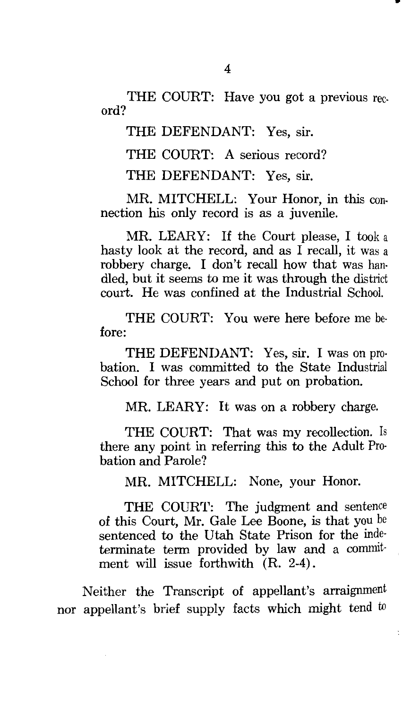ord? THE COURT: Have you got a previous rec-

THE DEFENDANT: Yes, sir.

THE COURT: A serious record?

THE DEFENDANT: Yes, sir.

MR. MITCHELL: Your Honor, in this connection his only record is as a juvenile.

MR. LEARY: If the Court please, I took a hasty look at the record, and as  $\overline{I}$  recall, it was a robbery charge. I don't recall how that was handled, but it seems to me it was through the district court. He was confined at the Industrial School.

THE COURT: You were here before me before:

THE DEFENDANT: Yes, sir. I was on probation. I was committed to the State Industrial School for three years and put on probation.

MR. LEARY: It was on a robbery charge.

THE COURT: That was my recollection. Is there any point in referring this to the Adult Probation and Parole?

MR. MITCHELL: None, your Honor.

THE COURT: The judgment and sentence of this Court, Mr. Gale Lee Boone, is that you be sentenced to the Utah State Prison for the inde· terminate term provided by law and a commitment will issue forthwith (R. 2-4).

Neither the Transcript of appellant's arraignment nor appellant's brief supply facts which might tend to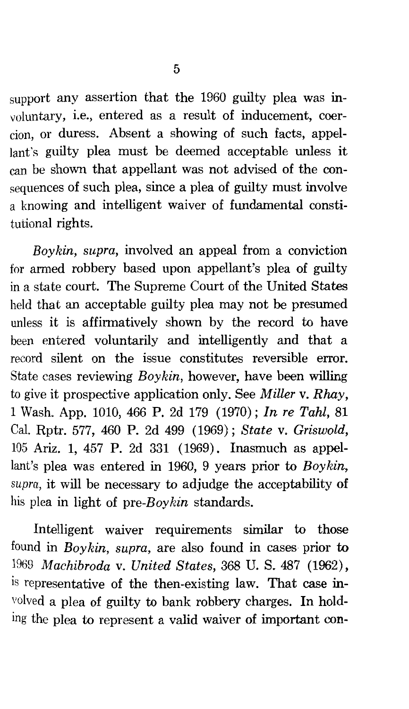support any assertion that the 1960 guilty plea was involuntary, i.e., entered as a result of inducement, coercion, or duress. Absent a showing of such facts, appellant's guilty plea must be deemed acceptable unless it can be shown that appellant was not advised of the consequences of such plea, since a plea of guilty must involve a knowing and intelligent waiver of fundamental constitutional rights.

*Boykin, supra,* involved an appeal from a conviction for armed robbery based upon appellant's plea of guilty in a state court. The Supreme Court of the United States held that an acceptable guilty plea may not be presumed unless it is affirmatively shown by the record to have been entered voluntarily and intelligently and that a record silent on the issue constitutes reversible error. State cases reviewing *Boykin,* however, have been willing to give it prospective application only. See *Miller* v. *Rhay,*  1 Wash. App. 1010, 466 P. 2d 179 (1970); *In re Tahl,* 81 Cal. Rptr. 577, 460 P. 2d 499 (1969); *State* v. *Griswold,*  105 Ariz. 1, 457 P. 2d 331 (1969). Inasmuch as appellant's plea was entered in 1960, 9 years prior to *Boykin, supra,* it will be necessary to adjudge the acceptability of his plea in light of *pre-Boykin* standards.

Intelligent waiver requirements similar to those found in *Boykin, supra,* are also found in cases prior to 1969 *Machibroda* v. *United States,* 368 U. S. 487 (1962), is representative of the then-existing law. That case involved a plea of guilty to bank robbery charges. In holding the plea to represent a valid waiver of important con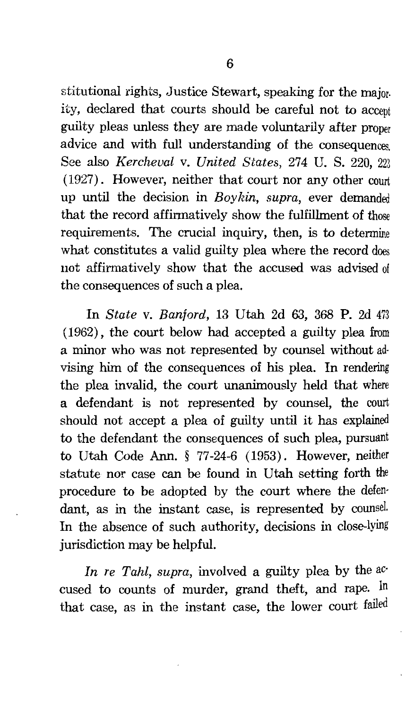stitutional rights, Justice Stewart, speaking for the major. ity, declared that courts should be careful not to accept guilty pleas unless they are made voluntarily after proper advice and with full understanding of the consequences. See also *Kercheval* v. *United States,* 274 U. S. 220, 223 (1927). However, neither that court nor any other court up until the decision in *Boy hin, supra,* ever demanded that the record affirmatively show the fulfillment of those requirements. The crucial inquiry, then, is to determine what constitutes a valid guilty plea where the record does not affirmatively show that the accused was advised of the consequences of such a plea.

In *State* v. *Banford,* 13 Utah 2d 63, 368 P. 2d 473 ( 1962) , the court below had accepted a guilty plea from a minor who was not represented by counsel without ad· vising him of the consequences of his plea. In rendering the plea invalid, the court unanimously held that where a defendant is not represented by counsel, the court should not accept a plea of guilty until it has explained to the defendant the consequences of such plea, pursuant to Utah Code Ann. § 77-24-6 (1953). However, neither statute nor case can be found in Utah setting forth the procedure to be adopted by the court where the defen· dant, as in the instant case, is represented by counsel. In the absence of such authority, decisions in close-lying jurisdiction may be helpful.

*In re Tahl, supra, involved a guilty plea by the ac*cused to counts of murder, grand theft, and rape. In that case, as in the instant case, the lower court failed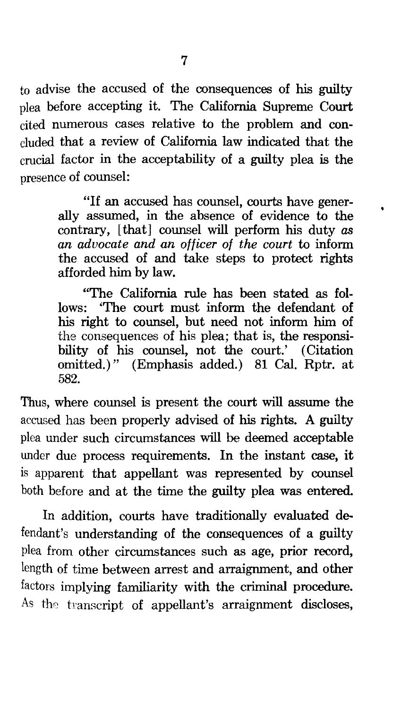to advise the accused of the consequences of his guilty plea before accepting it. The California Supreme Court cited numerous cases relative to the problem and concluded that a review of California law indicated that the crucial factor in the acceptability of a guilty plea is the presence of counsel:

> "If an accused has counsel, courts have generally assumed, in the absence of evidence to the contrary, [that] counsel will perform his duty *as an advocate and an officer of the court* to inform the accused of and take steps to protect rights afforded him by law.

> "The California rule has been stated as follows: 'The court must inform the defendant of his right to counsel, but need not inform him of the consequences of his plea; that is, the responsibility of his counsel, not the court.' (Citation omitted.)" (Emphasis added.) 81 Cal. Rptr. at 582.

Thus, where counsel is present the court will assume the accused has been properly advised of his rights. A guilty plea under such circumstances will be deemed acceptable under due process requirements. In the instant case, it is apparent that appellant was represented by counsel both before and at the time the guilty plea was entered.

In addition, courts have traditionally evaluated defendant's understanding of the consequences of a guilty plea from other circumstances such as age, prior record, length of time between arrest and arraignment, and other factors implying familiarity with the criminal procedure. As the transcript of appellant's arraignment discloses,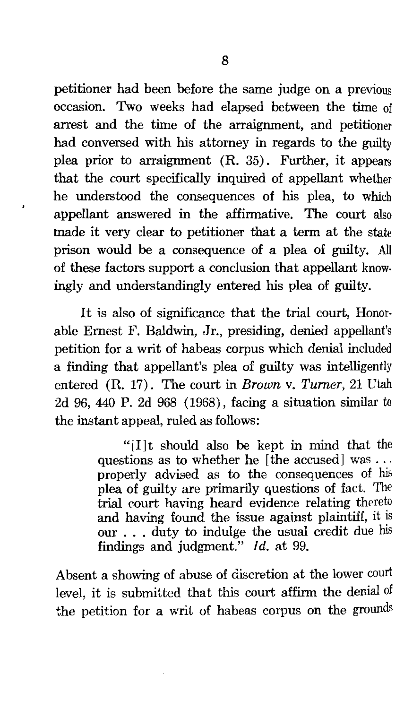petitioner had been before the same judge on a previous occasion. Two weeks had elapsed between the time of arrest and the time of the arraignment, and petitioner had conversed with his attorney in regards to the guilty plea prior to arraignment (R. 35). Further, it appears that the court specifically inquired of appellant whether he understood the consequences of his plea, to which appellant answered in the affirmative. The court also made it very clear to petitioner that a term at the state prison would be a consequence of a plea of guilty. All of these factors support a conclusion that appellant knowingly and understandingly entered his plea of guilty.

It is also of significance that the trial court, Honorable Ernest F. Baldwin, Jr., presiding, denied appellant's petition for a writ of habeas corpus which denial included a finding that appellant's plea of guilty was intelligently entered (R. 17) . The court in *Brown* v. *Turner,* 21 Utah 2d 96, 440 P. 2d 968 (1968), facing a situation similar to the instant appeal, ruled as follows:

> "[I]t should also be kept in mind that the questions as to whether he [the accused] was ... properly advised as to the consequences of his plea of guilty are primarily questions of fact. The trial court having heard evidence relating thereto and having found the issue against plaintiff, it is our . . . duty to indulge the usual credit due his findings and judgment." *Id.* at 99.

Absent a showing of abuse of discretion at the lower court level, it is submitted that this court affirm the denial of the petition for a writ of habeas corpus on the grounds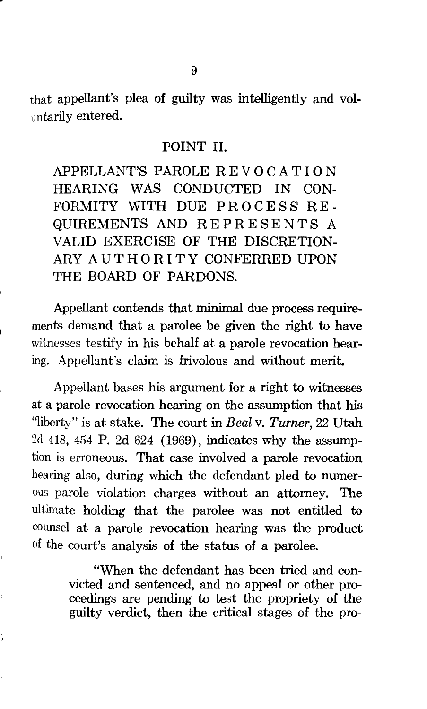that appellant's plea of guilty was intelligently and voluntarily entered.

### POINT II.

APPELLANT'S PAROLE REVOCATION HEARING WAS CONDUCTED IN CON-FORMITY WITH DUE PROCESS RE-QUIREMENTS AND REPRESENTS A VALID EXERCISE OF THE DISCRETION-ARY A UTHORITY CONFERRED UPON THE BOARD OF PARDONS.

Appellant contends that minimal due process requirements demand that a parolee be given the right to have witnesses testify in his behalf at a parole revocation hearing. Appellant's claim is frivolous and without merit.

Appellant bases his argument for a right to witnesses at a parole revocation hearing on the assumption that his ''liberty" is at stake. The court in *Beal* v. *Turner,* 22 Utah 2d 418, 454 P. 2d 624 (1969), indicates why the assumption is erroneous. That case involved a parole revocation hearing also, during which the defendant pled to numerous parole violation charges without an attorney. The ultimate holding that the parolee was not entitled to counsel at a parole revocation hearing was the product of the court's analysis of the status of a parolee.

> "When the defendant has been tried and convicted and sentenced, and no appeal or other proceedings are pending to test the propriety of the guilty verdict, then the critical stages of the pro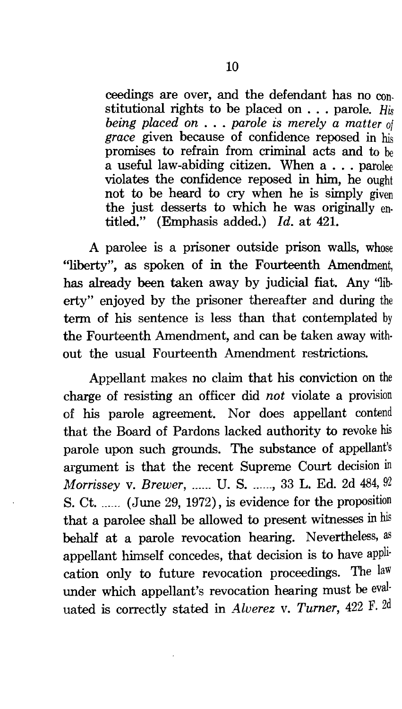ceedings are over, and the defendant has no con. stitutional rights to be placed on . . . parole. *His being placed on* . . . *parole is merely a matter of grace* given because of confidence reposed in his promises to refrain from criminal acts and to be a useful law-abiding citizen. When  $a \ldots$  parolee violates the confidence reposed in him, he ought not to be heard to cry when he is simply given the just desserts to which he was originally entitled." (Emphasis added.) *Id.* at 421.

A parolee is a prisoner outside prison walls, whose "liberty", as spoken of in the Fourteenth Amendment, has already been taken away by judicial fiat. Any ''liberty" enjoyed by the prisoner thereafter and during the term of his sentence is less than that contemplated by the Fourteenth Amendment, and can be taken away without the usual Fourteenth Amendment restrictions.

Appellant makes no claim that his conviction on the charge of resisting an officer did *not* violate a provision of his parole agreement. Nor does appellant contend that the Board of Pardons lacked authority to revoke his parole upon such grounds. The substance of appellant's argument is that the recent Supreme Court decision in *Morrissey* v. *Brewer,* ...... U. S. \_\_\_\_\_\_ , 33 L. Ed. 2d 484, 92 S. Ct. ...... (June 29, 1972), is evidence for the proposition that a parolee shall be allowed to present witnesses in his behalf at a parole revocation hearing. Nevertheless, as appellant himself concedes, that decision is to have application only to future revocation proceedings. The law under which appellant's revocation hearing must be evaluated is correctly stated in *Alverez v. Turner*, 422 F. 2d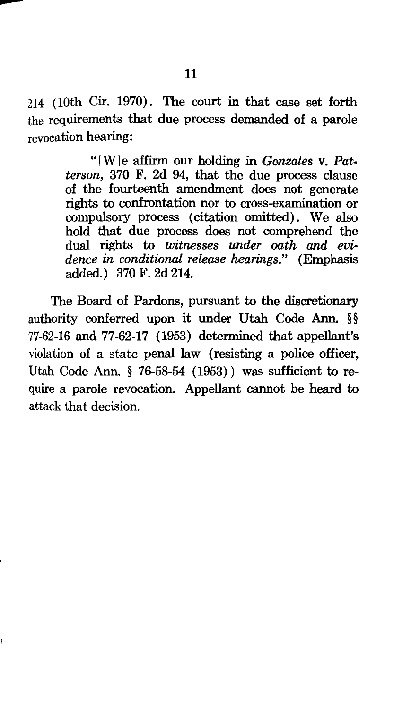214 (10th Cir. 1970). The court in that case set forth the requirements that due process demanded of a parole revocation hearing:

> "[W]e affirm our holding in *Gonzales* v. *Patterson,* 370 F. 2d 94, that the due process clause of the fourteenth amendment does not generate rights to confrontation nor to cross-examination or compulsory process (citation omitted). We also hold that due process does not comprehend the dual rights to *witnesses under oath and evidence in conditional release hearings."* (Emphasis added.) 370 F. 2d 214.

The Board of Pardons, pursuant to the discretionary authority conferred upon it under Utah Code Ann. §§ 77-62-16 and 77-62-17 (1953) determined that appellant's violation of a state penal law (resisting a police officer, Utah Code Ann. § 76-58-54 (1953)) was sufficient to require a parole revocation. Appellant cannot be heard to attack that decision.

--